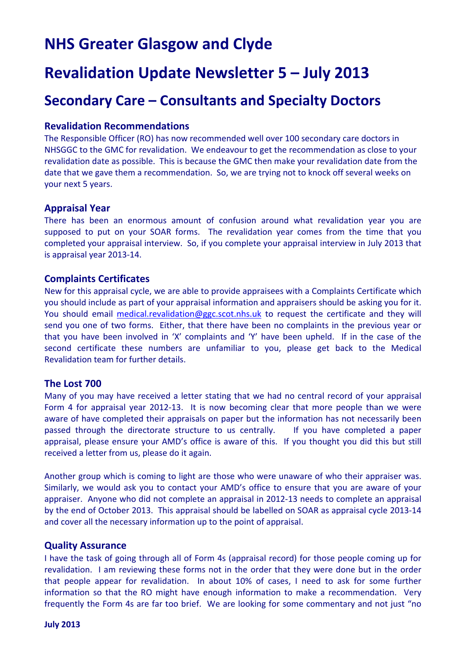# **NHS Greater Glasgow and Clyde**

# **Revalidation Update Newsletter 5 – July 2013**

### **Secondary Care – Consultants and Specialty Doctors**

#### **Revalidation Recommendations**

The Responsible Officer (RO) has now recommended well over 100 secondary care doctors in NHSGGC to the GMC for revalidation. We endeavour to get the recommendation as close to your revalidation date as possible. This is because the GMC then make your revalidation date from the date that we gave them a recommendation. So, we are trying not to knock off several weeks on your next 5 years.

#### **Appraisal Year**

There has been an enormous amount of confusion around what revalidation year you are supposed to put on your SOAR forms. The revalidation year comes from the time that you completed your appraisal interview. So, if you complete your appraisal interview in July 2013 that is appraisal year 2013‐14.

#### **Complaints Certificates**

New for this appraisal cycle, we are able to provide appraisees with a Complaints Certificate which you should include as part of your appraisal information and appraisers should be asking you for it. You should email [medical.revalidation@ggc.scot.nhs.uk](mailto:medical.revalidation@ggc.scot.nhs.uk) to request the certificate and they will send you one of two forms. Either, that there have been no complaints in the previous year or that you have been involved in 'X' complaints and 'Y' have been upheld. If in the case of the second certificate these numbers are unfamiliar to you, please get back to the Medical Revalidation team for further details.

#### **The Lost 700**

Many of you may have received a letter stating that we had no central record of your appraisal Form 4 for appraisal year 2012-13. It is now becoming clear that more people than we were aware of have completed their appraisals on paper but the information has not necessarily been passed through the directorate structure to us centrally. If you have completed a paper appraisal, please ensure your AMD's office is aware of this. If you thought you did this but still received a letter from us, please do it again.

Another group which is coming to light are those who were unaware of who their appraiser was. Similarly, we would ask you to contact your AMD's office to ensure that you are aware of your appraiser. Anyone who did not complete an appraisal in 2012‐13 needs to complete an appraisal by the end of October 2013. This appraisal should be labelled on SOAR as appraisal cycle 2013‐14 and cover all the necessary information up to the point of appraisal.

#### **Quality Assurance**

I have the task of going through all of Form 4s (appraisal record) for those people coming up for revalidation. I am reviewing these forms not in the order that they were done but in the order that people appear for revalidation. In about 10% of cases, I need to ask for some further information so that the RO might have enough information to make a recommendation. Very frequently the Form 4s are far too brief. We are looking for some commentary and not just "no